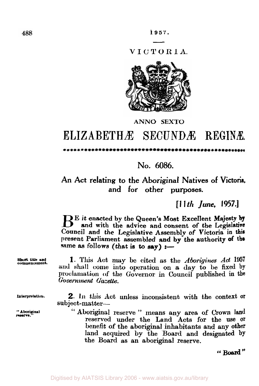1957.

VICTORIA.



## **ANNO SEXTO**

## ELIZABETHÆ SECUNDÆ REGINÆ

## ....................

No. 6086.

An Act relating to the Aboriginal Natives of Victoria, and for other purposes.

 $[11th$  *lune*.  $[957.]$ 

BE it enacted by the Queen's Most Excellent Majesty by and with the advice and consent of the Legislative Council and the Legislative Assembly of Victoria in this present Parliament assembled and by the authority of the same as follows (that is to  $say$ ) :-

Short title and commencement.

1. This Act may be cited as the Aborigines Act 1957 and shall come into operation on a day to be fixed by proclamation of the Governor in Council published in the Government Gazette.

Interpretation.

" Aboriginal reserve.

2. In this Act unless inconsistent with the context or subject-matter-

"Aboriginal reserve" means any area of Crown land reserved under the Land Acts for the use or benefit of the aboriginal inhabitants and any other land acquired by the Board and designated by the Board as an aboriginal reserve.

"Board"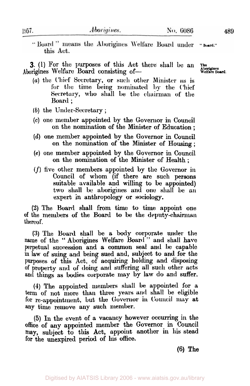"Board" means the Aborigines Welfare Board under this Act.

3. (1) For the purposes of this Act there shall be an Aborigines Welfare Board consisting of-

- (a) the Chief Secretary, or such other Minister as is for the time being nominated by the Chief Secretary, who shall be the chairman of the Board;
- $(b)$  the Under-Secretary;
- (c) one member appointed by the Governor in Council on the nomination of the Minister of Education;
- (d) one member appointed by the Governor in Council on the nomination of the Minister of Housing;
- (e) one member appointed by the Governor in Council on the nomination of the Minister of Health;
- $(f)$  five other members appointed by the Governor in Council of whom (if there are such persons suitable available and willing to be appointed) two shall be aborigines and one shall be an expert in anthropology or sociology.

(2) The Board shall from time to time appoint one of the members of the Board to be the deputy-chairman thereof.

(3) The Board shall be a body corporate under the name of the "Aborigines Welfare Board" and shall have perpetual succession and a common seal and be capable in law of suing and being sued and, subject to and for the purposes of this Act, of acquiring holding and disposing of property and of doing and suffering all such other acts and things as bodies corporate may by law do and suffer.

(4) The appointed members shall be appointed for a term of not more than three years and shall be eligible for re-appointment, but the Governor in Council may at any time remove any such member.

(5) In the event of a vacancy however occurring in the office of any appointed member the Governor in Council may, subject to this Act, appoint another in his stead for the unexpired period of his office.

 $(6)$  The

489

The Aborigines<br>Welfare Board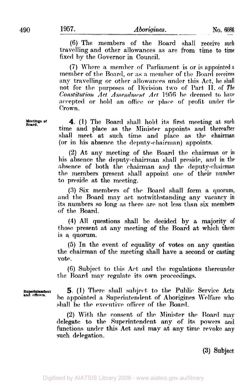(6) The members of the Board shall receive such travelling and other allowances as are from time to time fixed by the Governor in Council.

(7) Where a member of Parliament is or is appointed a member of the Board, or as a member of the Board receives any travelling or other allowances under this Act, he shall not for the purposes of Division two of Part II. of The Constitution Act Amendment Act 1956 be deemed to have accepted or hold an office or place of profit under the Crown.

4. (1) The Board shall hold its first meeting at such time and place as the Minister appoints and thereafter shall meet at such time and place as the chairman (or in his absence the deputy-chairman) appoints.

(2) At any meeting of the Board the chairman or in his absence the deputy-chairman shall preside, and in the absence of both the chairman and the deputy-chairman the members present shall appoint one of their number to preside at the meeting.

(3) Six members of the Board shall form a quorum, and the Board may act notwithstanding any vacancy in<br>its numbers so long as there are not less than six members of the Board.

(4) All questions shall be decided by a majority of those present at any meeting of the Board at which there is a quorum.

(5) In the event of equality of votes on any question the chairman of the meeting shall have a second or casting vote.

(6) Subject to this Act and the regulations thereunder the Board may regulate its own proceedings.

5. (1) There shall subject to the Public Service Acts be appointed a Superintendent of Aborigines Welfare who shall be the executive officer of the Board.

(2) With the consent of the Minister the Board may delegate to the Superintendent any of its powers and functions under this Act and may at any time revoke any such delegation.

(3) Subject

Meetings of Board.

Superintendent<br>and officers.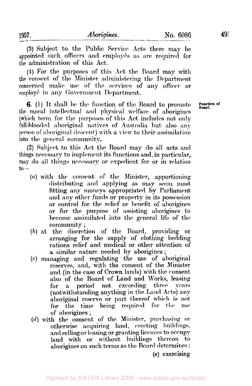(3) Subject to the Public Service Acts there may be appointed such officers and employés as are required for the administration of this Act.

(4) For the purposes of this Act the Board may with the consent of the Minister administering the Department concerned make use of the services of any officer or employé in any Government Department.

**6.** (1) It shall be the function of the Board to promote the moral intellectual and physical welfare of aborigines (which term for the purposes of this Act includes not only full-blooded aboriginal natives of Australia but also any person of aboriginal descent) with a view to their assimilation into the general community.

(2) Subject to this Act the Board may do all acts and things necessary to implement its functions and, in particular, may do all things necessary or expedient for or in relation  $to-$ 

- (a) with the consent of the Minister, apportioning distributing and applying as may seem most fitting any moneys appropriated by Parliament and any other funds or property in its possession or control for the relief or benefit of aborigines or for the purpose of assisting aborigines to become assimilated into the general life of the community;
- (b) at the discretion of the Board, providing or arranging for the supply of clothing bedding rations relief and medical or other attention of a similar nature needed by aborigines;
- (c) managing and regulating the use of aboriginal reserves, and, with the consent of the Minister and (in the case of Crown lands) with the consent also of the Board of Land and Works, leasing period not exceeding three for  $a$ **vears** (notwithstanding anything in the Land Acts) any aboriginal reserve or part thereof which is not for the time being required for the **use** of aborigines;
- (d) with the consent of the Minister, purchasing or otherwise acquiring land, erecting buildings. and selling or leasing or granting licences to occupy land with or without buildings thereon to aborigines on such terms as the Board determines:  $(e)$  exercising

Function of Roard.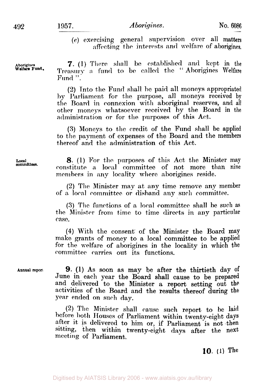*(e)* exercising general supervision over all matters affecting the interests and welfare of aborigines.

**Welfare Fund.** 

**7.** (1) There shall be established and kept in the Treasury a fund to be called the " Aborigines Welfare Fund ".

(2) Into the Fund shall be paid all moneys appropriated hy J'arliament for the purpose, **all** moneys received by tlie Board in connexion with aboriginal reserves, **and** all other moneys whatsoever received by the Board in the administration or for the purposes of this Act.

**(3)** Moneys to the credit of the Fund sliall be applied to the payment of expenses of the Board and the members thereof and the administration of this Act.

Local *8.* **(1)** For thc purposes of this **Act** tlie Minister may constitute a local committee of not more than nine members in any locality where aborigines reside.

> **(2)** Tlic Minister may at my time remove any member of a local committee or disband any such committee.

> **(3)** Thc fiinct,ions **of** *n* local committee sliall be such as the Minister from time to time directs in any particular case.

> **(4)** With the consent of the Minister the Board may make grants of money to a local committee to be applied for the welfare of aborigines in the locality in which the committec carries out its functions.

**Annual reporl 9.** (1) As soon as **may** be after the thirtieth **day** of June in each year the Board shall cause to be prepared and delivered to the Minister a report setting out the activities of the Board and the results thereof during the year ended **on such** day.

> (2) Tlic Minister shall cause such report to **he** laid before both Houscs of Parliament within twenty-eight days after it is delivered to him or, if Parliament is not then sitting, then within twenty-eight days after the next meeting of Parliament.

## **10. (1)** The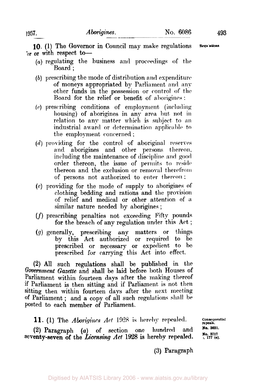493

10. (1) The Governor in Council may make regulations Regu'ations or or with respect to-

- (a) regulating the business and proceedings of the Board:
- (b) prescribing the mode of distribution and expenditure of moneys appropriated by Parliament and any other funds in the possession or control of the Board for the relief or benefit of aborigines:
- (c) prescribing conditions of employment (including housing) of aborigines in any area but not in relation to any matter which is subject to an industrial award or determination applicable to the employment concerned;
- $(d)$  providing for the control of aboriginal reserves and aborigines and other persons thereon, including the maintenance of discipline and good order thereon, the issue of permits to reside thereon and the exclusion or removal therefrom of persons not authorized to enter thereon;
- (e) providing for the mode of supply to aborigines of clothing bedding and rations and the provision of relief and medical or other attention of a similar nature needed by aborigines;
- (f) prescribing penalties not exceeding Fifty pounds for the breach of any regulation under this Act;
- $(g)$  generally, prescribing any matters or things<br>by this Act authorized or required to be prescribed or necessary or expedient to be prescribed for carrying this Act into effect.

(2) All such regulations shall be published in the Government Gazette and shall be laid before both Houses of Parliament within fourteen days after the making thereof if Parliament is then sitting and if Parliament is not then sitting then within fourteen days after the next meeting of Parliament; and a copy of all such regulations shall be posted to each member of Parliament.

11. (1) The *Aborigines Act* 1928 is hereby repealed.

 $(2)$  Paragraph  $(a)$  of section one hundred and seventy-seven of the Licensing Act 1928 is hereby repealed.

Consequential repeals. No. 3631. No. 3717<br>;, 177 (a).

(3) Paragraph

1957.